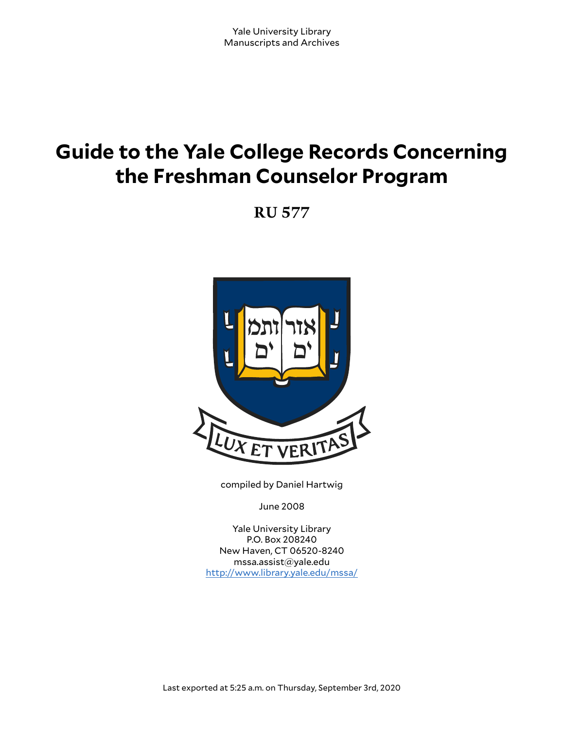# **Guide to the Yale College Records Concerning the Freshman Counselor Program**

**RU 577**



compiled by Daniel Hartwig

June 2008

Yale University Library P.O. Box 208240 New Haven, CT 06520-8240 mssa.assist@yale.edu <http://www.library.yale.edu/mssa/>

Last exported at 5:25 a.m. on Thursday, September 3rd, 2020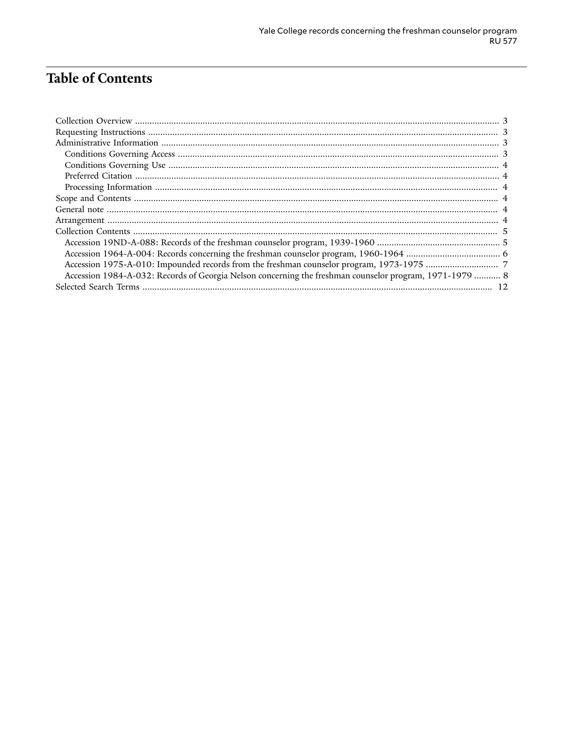## **Table of Contents**

| Accession 1984-A-032: Records of Georgia Nelson concerning the freshman counselor program, 1971-1979  8 |  |
|---------------------------------------------------------------------------------------------------------|--|
|                                                                                                         |  |
|                                                                                                         |  |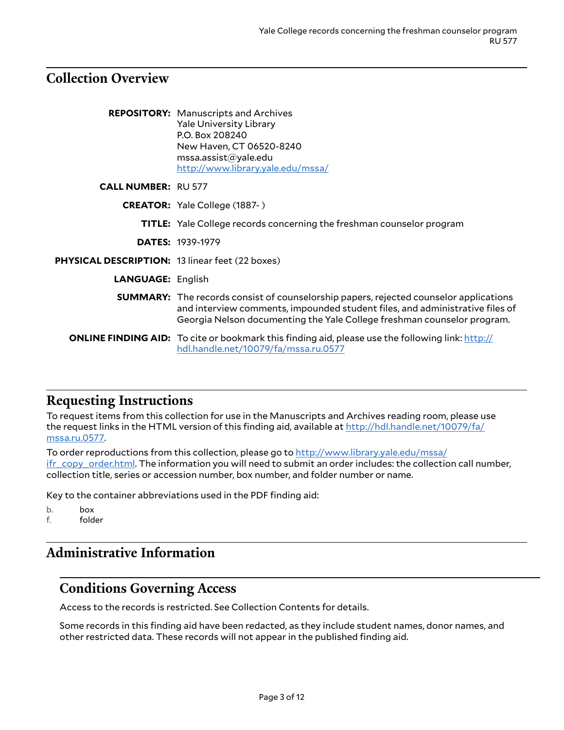## <span id="page-2-0"></span>**Collection Overview**

|                                                        | <b>REPOSITORY:</b> Manuscripts and Archives<br><b>Yale University Library</b><br>P.O. Box 208240<br>New Haven, CT 06520-8240<br>msa. assist@yale.edu<br>http://www.library.yale.edu/mssa/                                                               |
|--------------------------------------------------------|---------------------------------------------------------------------------------------------------------------------------------------------------------------------------------------------------------------------------------------------------------|
| <b>CALL NUMBER: RU 577</b>                             |                                                                                                                                                                                                                                                         |
|                                                        | <b>CREATOR:</b> Yale College (1887-)                                                                                                                                                                                                                    |
|                                                        | <b>TITLE:</b> Yale College records concerning the freshman counselor program                                                                                                                                                                            |
|                                                        | <b>DATES: 1939-1979</b>                                                                                                                                                                                                                                 |
| <b>PHYSICAL DESCRIPTION: 13 linear feet (22 boxes)</b> |                                                                                                                                                                                                                                                         |
| <b>LANGUAGE: English</b>                               |                                                                                                                                                                                                                                                         |
|                                                        | <b>SUMMARY:</b> The records consist of counselorship papers, rejected counselor applications<br>and interview comments, impounded student files, and administrative files of<br>Georgia Nelson documenting the Yale College freshman counselor program. |
|                                                        | <b>ONLINE FINDING AID:</b> To cite or bookmark this finding aid, please use the following link: http://<br>hdl.handle.net/10079/fa/mssa.ru.0577                                                                                                         |

#### <span id="page-2-1"></span>**Requesting Instructions**

To request items from this collection for use in the Manuscripts and Archives reading room, please use the request links in the HTML version of this finding aid, available at [http://hdl.handle.net/10079/fa/](http://hdl.handle.net/10079/fa/mssa.ru.0577) [mssa.ru.0577](http://hdl.handle.net/10079/fa/mssa.ru.0577).

To order reproductions from this collection, please go to [http://www.library.yale.edu/mssa/](http://www.library.yale.edu/mssa/ifr_copy_order.html) [ifr\\_copy\\_order.html.](http://www.library.yale.edu/mssa/ifr_copy_order.html) The information you will need to submit an order includes: the collection call number, collection title, series or accession number, box number, and folder number or name.

Key to the container abbreviations used in the PDF finding aid:

b. box f. folder

# <span id="page-2-2"></span>**Administrative Information**

#### <span id="page-2-3"></span>**Conditions Governing Access**

Access to the records is restricted. See Collection Contents for details.

Some records in this finding aid have been redacted, as they include student names, donor names, and other restricted data. These records will not appear in the published finding aid.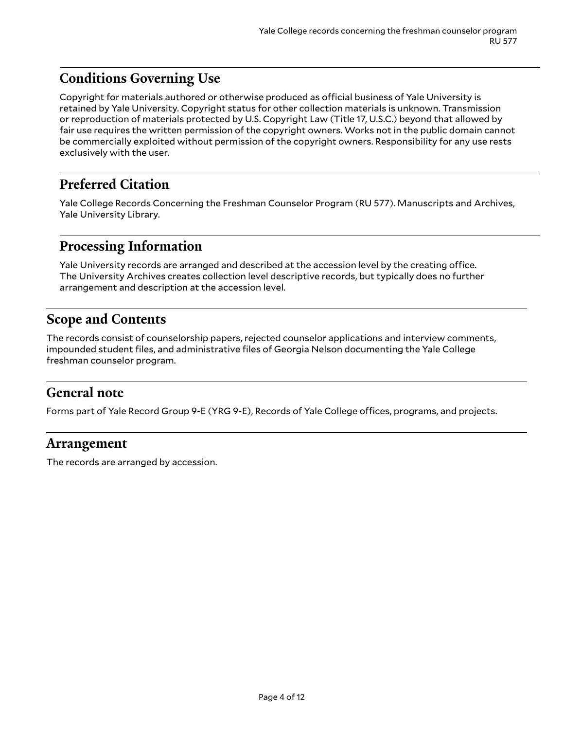## <span id="page-3-0"></span>**Conditions Governing Use**

Copyright for materials authored or otherwise produced as official business of Yale University is retained by Yale University. Copyright status for other collection materials is unknown. Transmission or reproduction of materials protected by U.S. Copyright Law (Title 17, U.S.C.) beyond that allowed by fair use requires the written permission of the copyright owners. Works not in the public domain cannot be commercially exploited without permission of the copyright owners. Responsibility for any use rests exclusively with the user.

### <span id="page-3-1"></span>**Preferred Citation**

Yale College Records Concerning the Freshman Counselor Program (RU 577). Manuscripts and Archives, Yale University Library.

#### <span id="page-3-2"></span>**Processing Information**

Yale University records are arranged and described at the accession level by the creating office. The University Archives creates collection level descriptive records, but typically does no further arrangement and description at the accession level.

### <span id="page-3-3"></span>**Scope and Contents**

The records consist of counselorship papers, rejected counselor applications and interview comments, impounded student files, and administrative files of Georgia Nelson documenting the Yale College freshman counselor program.

#### <span id="page-3-4"></span>**General note**

Forms part of Yale Record Group 9-E (YRG 9-E), Records of Yale College offices, programs, and projects.

#### <span id="page-3-5"></span>**Arrangement**

The records are arranged by accession.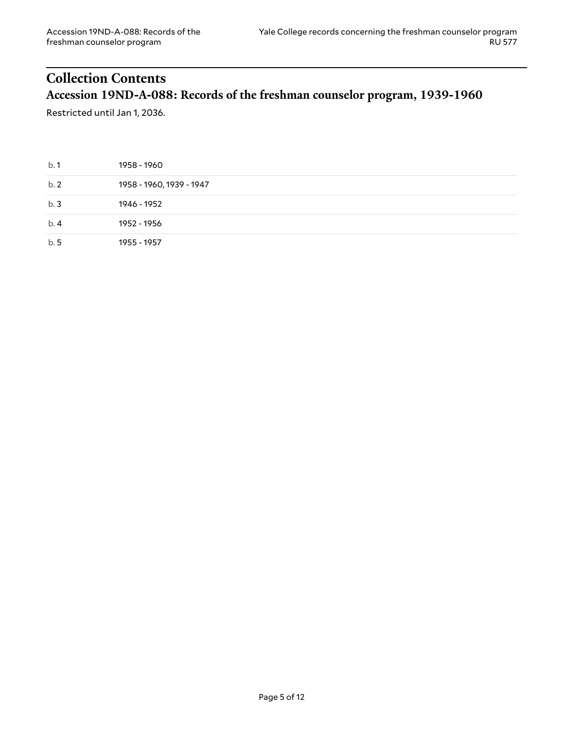## <span id="page-4-1"></span><span id="page-4-0"></span>**Collection Contents Accession 19ND-A-088: Records of the freshman counselor program, 1939-1960**

Restricted until Jan 1, 2036.

| b.1  | 1958 - 1960              |
|------|--------------------------|
| b.2  | 1958 - 1960, 1939 - 1947 |
| b.3  | 1946 - 1952              |
| b.4  | 1952 - 1956              |
| b. 5 | 1955 - 1957              |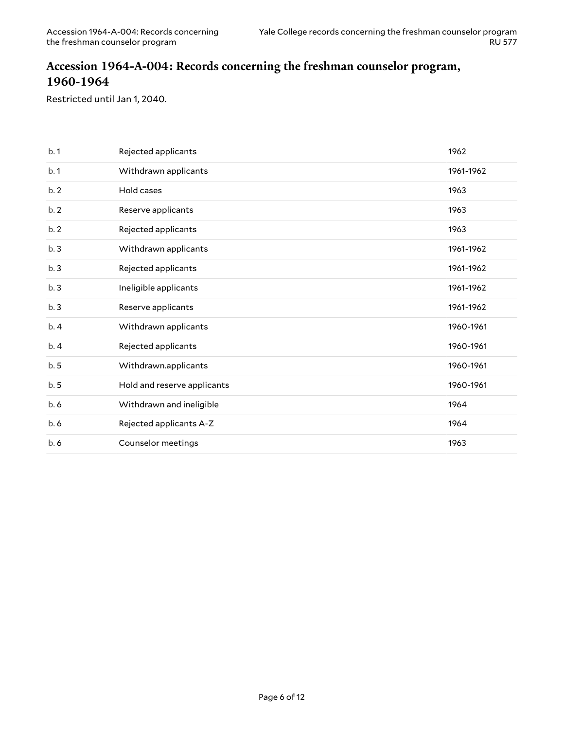#### <span id="page-5-0"></span>**Accession 1964-A-004: Records concerning the freshman counselor program, 1960-1964**

Restricted until Jan 1, 2040.

| b.1 | Rejected applicants         | 1962      |
|-----|-----------------------------|-----------|
| b.1 | Withdrawn applicants        | 1961-1962 |
| b.2 | Hold cases                  | 1963      |
| b.2 | Reserve applicants          | 1963      |
| b.2 | Rejected applicants         | 1963      |
| b.3 | Withdrawn applicants        | 1961-1962 |
| b.3 | Rejected applicants         | 1961-1962 |
| b.3 | Ineligible applicants       | 1961-1962 |
| b.3 | Reserve applicants          | 1961-1962 |
| b.4 | Withdrawn applicants        | 1960-1961 |
| b.4 | Rejected applicants         | 1960-1961 |
| b.5 | Withdrawn.applicants        | 1960-1961 |
| b.5 | Hold and reserve applicants | 1960-1961 |
| b.6 | Withdrawn and ineligible    | 1964      |
| b.6 | Rejected applicants A-Z     | 1964      |
| b.6 | Counselor meetings          | 1963      |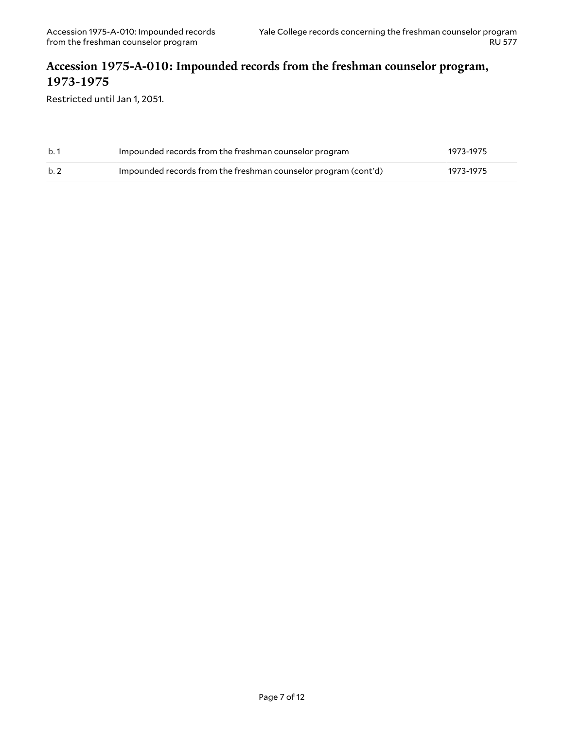#### <span id="page-6-0"></span>**Accession 1975-A-010: Impounded records from the freshman counselor program, 1973-1975**

Restricted until Jan 1, 2051.

| b.1 | Impounded records from the freshman counselor program          | 1973-1975 |
|-----|----------------------------------------------------------------|-----------|
| b.2 | Impounded records from the freshman counselor program (cont'd) | 1973-1975 |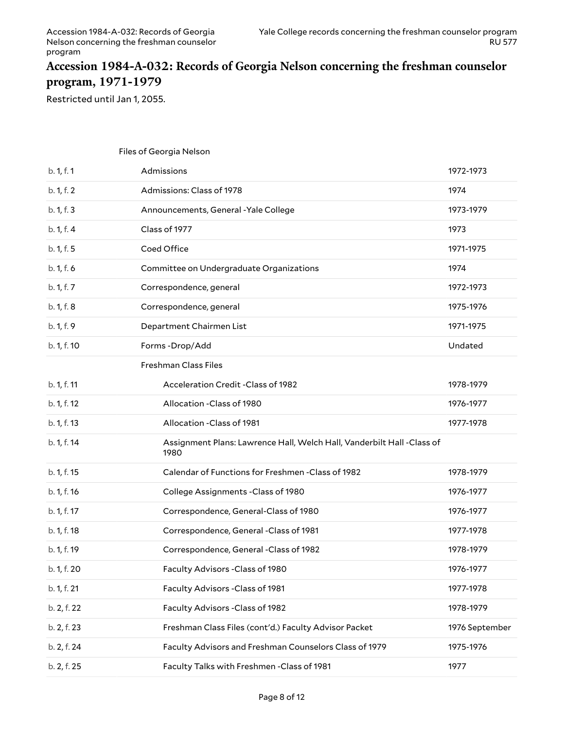#### <span id="page-7-0"></span>**Accession 1984-A-032: Records of Georgia Nelson concerning the freshman counselor program, 1971-1979**

Restricted until Jan 1, 2055.

|             | Files of Georgia Nelson                                                        |                |
|-------------|--------------------------------------------------------------------------------|----------------|
| b. 1, f. 1  | Admissions                                                                     | 1972-1973      |
| b. 1, f. 2  | Admissions: Class of 1978                                                      | 1974           |
| b. 1, f. 3  | Announcements, General - Yale College                                          | 1973-1979      |
| b. 1, f. 4  | Class of 1977                                                                  | 1973           |
| b. 1, f. 5  | Coed Office                                                                    | 1971-1975      |
| b. 1, f. 6  | Committee on Undergraduate Organizations                                       | 1974           |
| b. 1, f. 7  | Correspondence, general                                                        | 1972-1973      |
| b. 1, f. 8  | Correspondence, general                                                        | 1975-1976      |
| b. 1, f. 9  | Department Chairmen List                                                       | 1971-1975      |
| b. 1, f. 10 | Forms-Drop/Add                                                                 | Undated        |
|             | Freshman Class Files                                                           |                |
| b. 1, f. 11 | Acceleration Credit - Class of 1982                                            | 1978-1979      |
| b. 1, f. 12 | Allocation - Class of 1980                                                     | 1976-1977      |
| b. 1, f. 13 | Allocation - Class of 1981                                                     | 1977-1978      |
| b. 1, f. 14 | Assignment Plans: Lawrence Hall, Welch Hall, Vanderbilt Hall -Class of<br>1980 |                |
| b. 1, f. 15 | Calendar of Functions for Freshmen - Class of 1982                             | 1978-1979      |
| b. 1, f. 16 | College Assignments - Class of 1980                                            | 1976-1977      |
| b. 1, f. 17 | Correspondence, General-Class of 1980                                          | 1976-1977      |
| b. 1, f. 18 | Correspondence, General -Class of 1981                                         | 1977-1978      |
| b. 1, f. 19 | Correspondence, General -Class of 1982                                         | 1978-1979      |
| b. 1, f. 20 | Faculty Advisors - Class of 1980                                               | 1976-1977      |
| b. 1, f. 21 | Faculty Advisors - Class of 1981                                               | 1977-1978      |
| b. 2, f. 22 | Faculty Advisors - Class of 1982                                               | 1978-1979      |
| b. 2, f. 23 | Freshman Class Files (cont'd.) Faculty Advisor Packet                          | 1976 September |
| b. 2, f. 24 | Faculty Advisors and Freshman Counselors Class of 1979                         | 1975-1976      |
| b. 2, f. 25 | Faculty Talks with Freshmen - Class of 1981                                    | 1977           |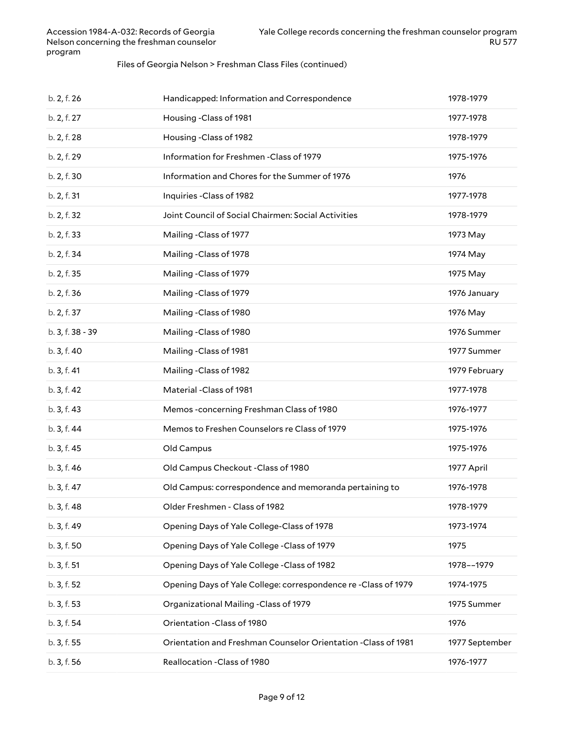#### Files of Georgia Nelson > Freshman Class Files (continued)

| b. 2, f. 26      | Handicapped: Information and Correspondence                    | 1978-1979      |
|------------------|----------------------------------------------------------------|----------------|
| b. 2, f. 27      | Housing -Class of 1981                                         | 1977-1978      |
| b. 2, f. 28      | Housing - Class of 1982                                        | 1978-1979      |
| b. 2, f. 29      | Information for Freshmen - Class of 1979                       | 1975-1976      |
| b. 2, f. 30      | Information and Chores for the Summer of 1976                  | 1976           |
| b. 2, f. 31      | Inquiries - Class of 1982                                      | 1977-1978      |
| b. 2, f. 32      | Joint Council of Social Chairmen: Social Activities            | 1978-1979      |
| b. 2, f. 33      | Mailing - Class of 1977                                        | 1973 May       |
| b. 2, f. 34      | Mailing - Class of 1978                                        | 1974 May       |
| b. 2, f. 35      | Mailing - Class of 1979                                        | 1975 May       |
| b. 2, f. 36      | Mailing - Class of 1979                                        | 1976 January   |
| b. 2, f. 37      | Mailing - Class of 1980                                        | 1976 May       |
| b. 3, f. 38 - 39 | Mailing - Class of 1980                                        | 1976 Summer    |
| b. 3, f. 40      | Mailing - Class of 1981                                        | 1977 Summer    |
| b. 3, f. 41      | Mailing - Class of 1982                                        | 1979 February  |
| b. 3, f. 42      | Material -Class of 1981                                        | 1977-1978      |
| b. 3, f. 43      | Memos -concerning Freshman Class of 1980                       | 1976-1977      |
| b. 3, f. 44      | Memos to Freshen Counselors re Class of 1979                   | 1975-1976      |
| b. 3, f. 45      | Old Campus                                                     | 1975-1976      |
| b. 3, f. 46      | Old Campus Checkout - Class of 1980                            | 1977 April     |
| b. 3, f. 47      | Old Campus: correspondence and memoranda pertaining to         | 1976-1978      |
| b. 3, f. 48      | Older Freshmen - Class of 1982                                 | 1978-1979      |
| b. 3, f. 49      | Opening Days of Yale College-Class of 1978                     | 1973-1974      |
| b. 3, f. 50      | Opening Days of Yale College - Class of 1979                   | 1975           |
| b. 3, f. 51      | Opening Days of Yale College - Class of 1982                   | 1978--1979     |
| b. 3, f. 52      | Opening Days of Yale College: correspondence re-Class of 1979  | 1974-1975      |
| b. 3, f. 53      | Organizational Mailing -Class of 1979                          | 1975 Summer    |
| b. 3, f. 54      | Orientation - Class of 1980                                    | 1976           |
| b. 3, f. 55      | Orientation and Freshman Counselor Orientation - Class of 1981 | 1977 September |
| b. 3, f. 56      | Reallocation - Class of 1980                                   | 1976-1977      |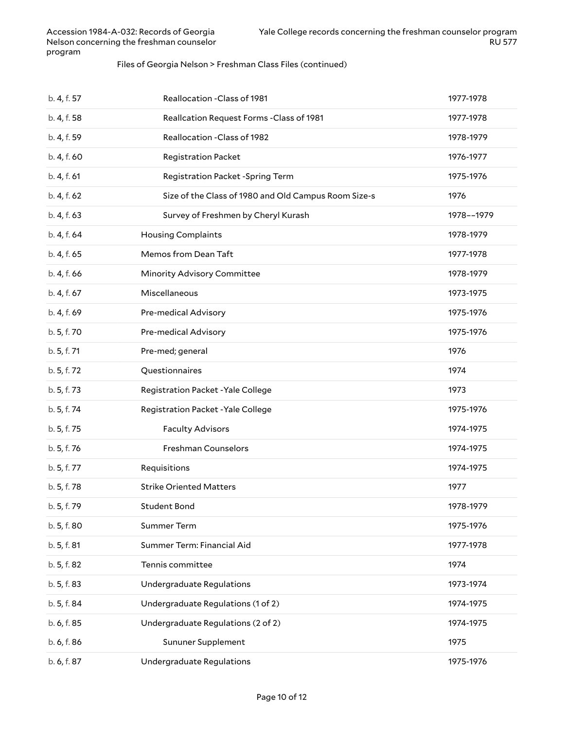#### Files of Georgia Nelson > Freshman Class Files (continued)

| b. 4, f. 57 | Reallocation - Class of 1981                         | 1977-1978  |
|-------------|------------------------------------------------------|------------|
| b. 4, f. 58 | Reallcation Request Forms - Class of 1981            | 1977-1978  |
| b. 4, f. 59 | Reallocation - Class of 1982                         | 1978-1979  |
| b. 4, f. 60 | Registration Packet                                  | 1976-1977  |
| b. 4, f. 61 | Registration Packet -Spring Term                     | 1975-1976  |
| b. 4, f. 62 | Size of the Class of 1980 and Old Campus Room Size-s | 1976       |
| b. 4, f. 63 | Survey of Freshmen by Cheryl Kurash                  | 1978--1979 |
| b. 4, f. 64 | <b>Housing Complaints</b>                            | 1978-1979  |
| b. 4, f. 65 | Memos from Dean Taft                                 | 1977-1978  |
| b. 4, f. 66 | Minority Advisory Committee                          | 1978-1979  |
| b. 4, f. 67 | Miscellaneous                                        | 1973-1975  |
| b. 4, f. 69 | Pre-medical Advisory                                 | 1975-1976  |
| b. 5, f. 70 | Pre-medical Advisory                                 | 1975-1976  |
| b. 5, f. 71 | Pre-med; general                                     | 1976       |
| b. 5, f. 72 | Questionnaires                                       | 1974       |
| b. 5, f. 73 | Registration Packet - Yale College                   | 1973       |
| b. 5, f. 74 | Registration Packet - Yale College                   | 1975-1976  |
| b. 5, f. 75 | <b>Faculty Advisors</b>                              | 1974-1975  |
| b. 5, f. 76 | Freshman Counselors                                  | 1974-1975  |
| b. 5, f. 77 | Requisitions                                         | 1974-1975  |
| b. 5, f. 78 | <b>Strike Oriented Matters</b>                       | 1977       |
| b. 5, f. 79 | <b>Student Bond</b>                                  | 1978-1979  |
| b. 5, f. 80 | <b>Summer Term</b>                                   | 1975-1976  |
| b. 5, f. 81 | Summer Term: Financial Aid                           | 1977-1978  |
| b. 5, f. 82 | Tennis committee                                     | 1974       |
| b. 5, f. 83 | Undergraduate Regulations                            | 1973-1974  |
| b. 5, f. 84 | Undergraduate Regulations (1 of 2)                   | 1974-1975  |
| b. 6, f. 85 | Undergraduate Regulations (2 of 2)                   | 1974-1975  |
| b. 6, f. 86 | Sununer Supplement                                   | 1975       |
| b. 6, f. 87 | Undergraduate Regulations                            | 1975-1976  |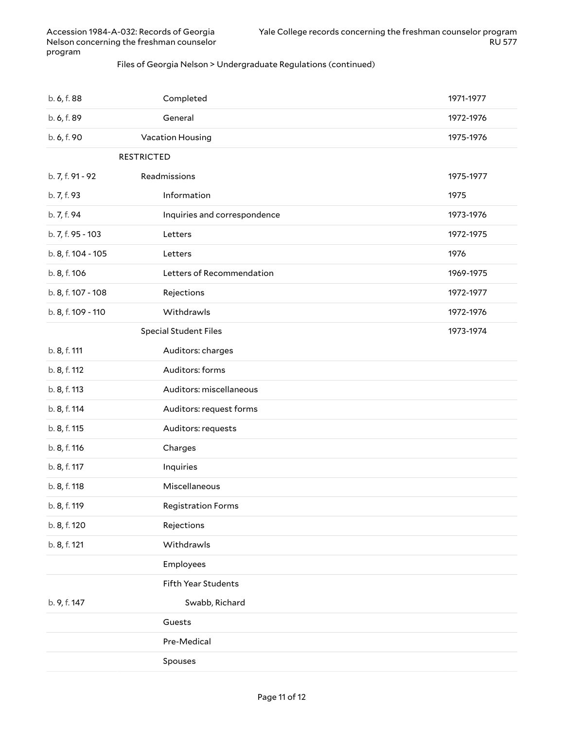#### Files of Georgia Nelson > Undergraduate Regulations (continued)

| b. 6, f. 88        | Completed                    | 1971-1977 |
|--------------------|------------------------------|-----------|
| b. 6, f. 89        | General                      | 1972-1976 |
| b. 6, f. 90        | Vacation Housing             | 1975-1976 |
| <b>RESTRICTED</b>  |                              |           |
| b. 7, f. 91 - 92   | Readmissions                 | 1975-1977 |
| b. 7, f. 93        | Information                  | 1975      |
| b. 7, f. 94        | Inquiries and correspondence | 1973-1976 |
| b. 7, f. 95 - 103  | Letters                      | 1972-1975 |
| b. 8, f. 104 - 105 | Letters                      | 1976      |
| b. 8, f. 106       | Letters of Recommendation    | 1969-1975 |
| b. 8, f. 107 - 108 | Rejections                   | 1972-1977 |
| b. 8, f. 109 - 110 | Withdrawls                   | 1972-1976 |
|                    | <b>Special Student Files</b> | 1973-1974 |
| b. 8, f. 111       | Auditors: charges            |           |
| b. 8, f. 112       | Auditors: forms              |           |
| b. 8, f. 113       | Auditors: miscellaneous      |           |
| b. 8, f. 114       | Auditors: request forms      |           |
| b. 8, f. 115       | Auditors: requests           |           |
| b. 8, f. 116       | Charges                      |           |
| b. 8, f. 117       | Inquiries                    |           |
| b. 8, f. 118       | Miscellaneous                |           |
| b. 8, f. 119       | <b>Registration Forms</b>    |           |
| b. 8, f. 120       | Rejections                   |           |
| b. 8, f. 121       | Withdrawls                   |           |
|                    | Employees                    |           |
|                    | <b>Fifth Year Students</b>   |           |
| b. 9, f. 147       | Swabb, Richard               |           |
|                    | Guests                       |           |
|                    | Pre-Medical                  |           |
|                    | Spouses                      |           |